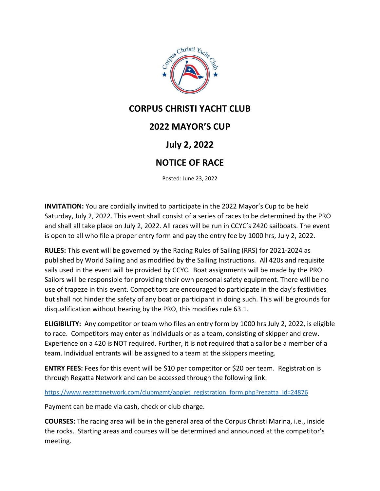

## **CORPUS CHRISTI YACHT CLUB**

## **2022 MAYOR'S CUP**

## **July 2, 2022**

## **NOTICE OF RACE**

Posted: June 23, 2022

**INVITATION:** You are cordially invited to participate in the 2022 Mayor's Cup to be held Saturday, July 2, 2022. This event shall consist of a series of races to be determined by the PRO and shall all take place on July 2, 2022. All races will be run in CCYC's Z420 sailboats. The event is open to all who file a proper entry form and pay the entry fee by 1000 hrs, July 2, 2022.

**RULES:** This event will be governed by the Racing Rules of Sailing (RRS) for 2021-2024 as published by World Sailing and as modified by the Sailing Instructions. All 420s and requisite sails used in the event will be provided by CCYC. Boat assignments will be made by the PRO. Sailors will be responsible for providing their own personal safety equipment. There will be no use of trapeze in this event. Competitors are encouraged to participate in the day's festivities but shall not hinder the safety of any boat or participant in doing such. This will be grounds for disqualification without hearing by the PRO, this modifies rule 63.1.

**ELIGIBILITY:** Any competitor or team who files an entry form by 1000 hrs July 2, 2022, is eligible to race. Competitors may enter as individuals or as a team, consisting of skipper and crew. Experience on a 420 is NOT required. Further, it is not required that a sailor be a member of a team. Individual entrants will be assigned to a team at the skippers meeting.

**ENTRY FEES:** Fees for this event will be \$10 per competitor or \$20 per team. Registration is through Regatta Network and can be accessed through the following link:

[https://www.regattanetwork.com/clubmgmt/applet\\_registration\\_form.php?regatta\\_id=24876](https://www.regattanetwork.com/clubmgmt/applet_registration_form.php?regatta_id=24876)

Payment can be made via cash, check or club charge.

**COURSES:** The racing area will be in the general area of the Corpus Christi Marina, i.e., inside the rocks. Starting areas and courses will be determined and announced at the competitor's meeting.